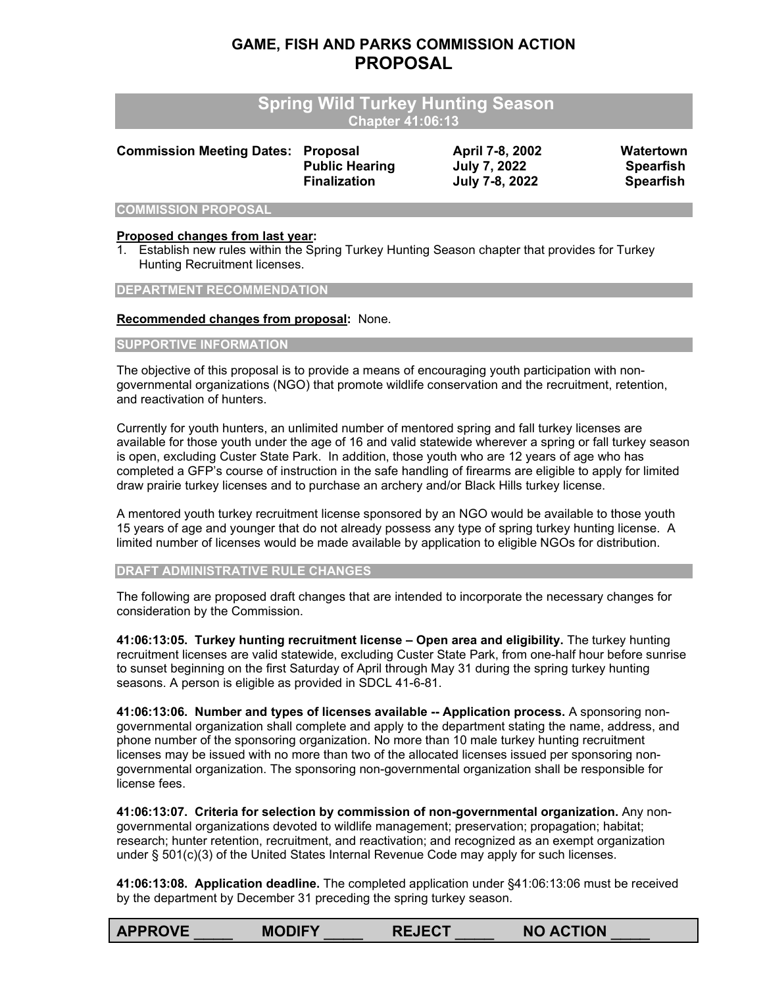# **GAME, FISH AND PARKS COMMISSION ACTION PROPOSAL**

| <b>Spring Wild Turkey Hunting Season</b><br><b>Chapter 41:06:13</b> |                                                                 |                                                          |                                                   |  |  |  |
|---------------------------------------------------------------------|-----------------------------------------------------------------|----------------------------------------------------------|---------------------------------------------------|--|--|--|
| <b>Commission Meeting Dates:</b>                                    | <b>Proposal</b><br><b>Public Hearing</b><br><b>Finalization</b> | April 7-8, 2002<br><b>July 7, 2022</b><br>July 7-8, 2022 | Watertown<br><b>Spearfish</b><br><b>Spearfish</b> |  |  |  |
| <b>COMMISSION PROPOSAL</b>                                          |                                                                 |                                                          |                                                   |  |  |  |

# **Proposed changes from last year:**

1. Establish new rules within the Spring Turkey Hunting Season chapter that provides for Turkey Hunting Recruitment licenses.

**DEPARTMENT RECOMMENDATION**

#### **Recommended changes from proposal:** None.

#### **SUPPORTIVE INFORMATION**

The objective of this proposal is to provide a means of encouraging youth participation with nongovernmental organizations (NGO) that promote wildlife conservation and the recruitment, retention, and reactivation of hunters.

Currently for youth hunters, an unlimited number of mentored spring and fall turkey licenses are available for those youth under the age of 16 and valid statewide wherever a spring or fall turkey season is open, excluding Custer State Park. In addition, those youth who are 12 years of age who has completed a GFP's course of instruction in the safe handling of firearms are eligible to apply for limited draw prairie turkey licenses and to purchase an archery and/or Black Hills turkey license.

A mentored youth turkey recruitment license sponsored by an NGO would be available to those youth 15 years of age and younger that do not already possess any type of spring turkey hunting license. A limited number of licenses would be made available by application to eligible NGOs for distribution.

**DRAFT ADMINISTRATIVE RULE CHANGES**

The following are proposed draft changes that are intended to incorporate the necessary changes for consideration by the Commission.

**41:06:13:05. Turkey hunting recruitment license – Open area and eligibility.** The turkey hunting recruitment licenses are valid statewide, excluding Custer State Park, from one-half hour before sunrise to sunset beginning on the first Saturday of April through May 31 during the spring turkey hunting seasons. A person is eligible as provided in SDCL 41-6-81.

**41:06:13:06. Number and types of licenses available -- Application process.** A sponsoring nongovernmental organization shall complete and apply to the department stating the name, address, and phone number of the sponsoring organization. No more than 10 male turkey hunting recruitment licenses may be issued with no more than two of the allocated licenses issued per sponsoring nongovernmental organization. The sponsoring non-governmental organization shall be responsible for license fees.

**41:06:13:07. Criteria for selection by commission of non-governmental organization.** Any nongovernmental organizations devoted to wildlife management; preservation; propagation; habitat; research; hunter retention, recruitment, and reactivation; and recognized as an exempt organization under § 501(c)(3) of the United States Internal Revenue Code may apply for such licenses.

**41:06:13:08. Application deadline.** The completed application under §41:06:13:06 must be received by the department by December 31 preceding the spring turkey season.

| <b>APPROVE</b> | <b>MODIFY</b> | <b>REJECT</b> | <b>NO ACTION</b> |
|----------------|---------------|---------------|------------------|
|                |               |               |                  |